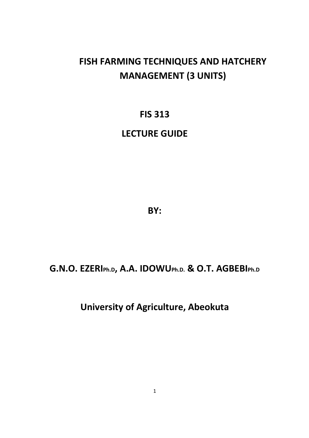# **FISH FARMING TECHNIQUES AND HATCHERY MANAGEMENT (3 UNITS)**

# **FIS 313**

# **LECTURE GUIDE**

**BY:** 

# **G.N.O. EZERIPh.D, A.A. IDOWUPh.D. & O.T. AGBEBIPh.D**

**University of Agriculture, Abeokuta**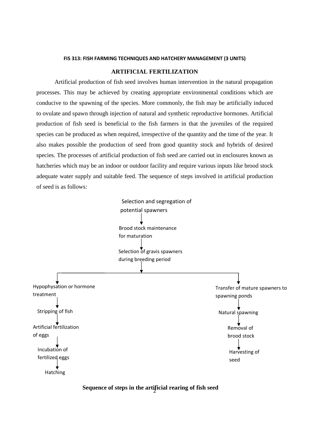#### **FIS 313: FISH FARMING TECHNIQUES AND HATCHERY MANAGEMENT (3 UNITS)**

### **ARTIFICIAL FERTILIZATION**

 Artificial production of fish seed involves human intervention in the natural propagation processes. This may be achieved by creating appropriate environmental conditions which are conducive to the spawning of the species. More commonly, the fish may be artificially induced to ovulate and spawn through injection of natural and synthetic reproductive hormones. Artificial production of fish seed is beneficial to the fish farmers in that the juveniles of the required species can be produced as when required, irrespective of the quantity and the time of the year. It also makes possible the production of seed from good quantity stock and hybrids of desired species. The processes of artificial production of fish seed are carried out in enclosures known as hatcheries which may be an indoor or outdoor facility and require various inputs like brood stock adequate water supply and suitable feed. The sequence of steps involved in artificial production of seed is as follows:



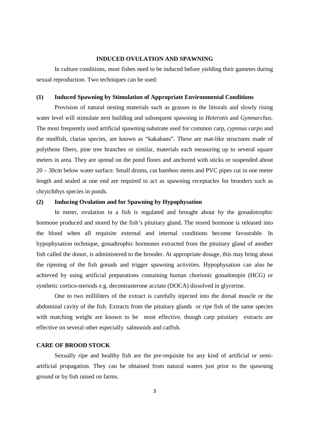#### **INDUCED OVULATION AND SPAWNING**

 In culture conditions, most fishes need to be induced before yielding their gametes during sexual reproduction. Two techniques can be used:

#### **(1) Induced Spawning by Stimulation of Appropriate Environmental Conditions**

 Provision of natural nesting materials such as grasses in the littorals and slowly rising water level will stimulate nest building and subsequent spawning in *Heterotis* and *Gymnarchus.*  The most frequently used artificial spawning substrate used for common carp, *cypnnus carpo* and the mudfish, clarias species, are known as "kakabans". These are mat-like structures made of polythene fibers, pine tree branches or similar, materials each measuring up to several square meters in area. They are spread on the pond floors and anchored with sticks or suspended about 20 – 30cm below water surface. Small drums, cut bamboo stems and PVC pipes cut in one meter length and sealed at one end are required to act as spawning receptacles for brooders such as chryichthys species in ponds.

## **(2) Inducing Ovulation and for Spawning by Hypophysation**

 In meter, ovulation in a fish is regulated and brought about by the gonadotrophic hormone produced and stored by the fish's pituitary gland**.** The stored hormone is released into the blood when all requisite external and internal conditions become favourable. In hypophysation technique, gonadtrophic hormones extracted from the pituitary gland of another fish called the donor, is administered to the brooder. At appropriate dosage, this may bring about the ripening of the fish gonads and trigger spawning activities. Hypophysation can also be achieved by using artificial preparations containing human chorionic gonadotopin (HCG) or synthetic cortico-steriods e.g. decontrasterone acctate (DOCA) dissolved in glycerine.

 One to two milliliters of the extract is carefully injected into the dorsal muscle or the abdominal cavity of the fish. Extracts from the pituitary glands or ripe fish of the same species with matching weight are known to be most effective, though carp pituitary extracts are effective on several other especially salmonids and catfish.

# **CARE OF BROOD STOCK**

Sexually ripe and healthy fish are the pre-requisite for any kind of artificial or semiartificial propagation. They can be obtained from natural waters just prior to the spawning ground or by fish raised on farms.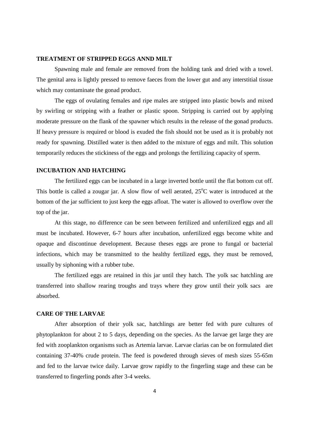#### **TREATMENT OF STRIPPED EGGS ANND MILT**

 Spawning male and female are removed from the holding tank and dried with a towel. The genital area is lightly pressed to remove faeces from the lower gut and any interstitial tissue which may contaminate the gonad product.

 The eggs of ovulating females and ripe males are stripped into plastic bowls and mixed by swirling or stripping with a feather or plastic spoon. Stripping is carried out by applying moderate pressure on the flank of the spawner which results in the release of the gonad products. If heavy pressure is required or blood is exuded the fish should not be used as it is probably not ready for spawning. Distilled water is then added to the mixture of eggs and milt. This solution temporarily reduces the stickiness of the eggs and prolongs the fertilizing capacity of sperm.

## **INCUBATION AND HATCHING**

The fertilized eggs can be incubated in a large inverted bottle until the flat bottom cut off. This bottle is called a zougar jar. A slow flow of well aerated,  $25^{\circ}$ C water is introduced at the bottom of the jar sufficient to just keep the eggs afloat. The water is allowed to overflow over the top of the jar.

 At this stage, no difference can be seen between fertilized and unfertilized eggs and all must be incubated. However, 6-7 hours after incubation, unfertilized eggs become white and opaque and discontinue development. Because theses eggs are prone to fungal or bacterial infections, which may be transmitted to the healthy fertilized eggs, they must be removed, usually by siphoning with a rubber tube.

 The fertilized eggs are retained in this jar until they hatch. The yolk sac hatchling are transferred into shallow rearing troughs and trays where they grow until their yolk sacs are absorbed.

#### **CARE OF THE LARVAE**

After absorption of their yolk sac, hatchlings are better fed with pure cultures of phytoplankton for about 2 to 5 days, depending on the species. As the larvae get large they are fed with zooplankton organisms such as Artemia larvae. Larvae clarias can be on formulated diet containing 37-40% crude protein. The feed is powdered through sieves of mesh sizes 55-65m and fed to the larvae twice daily. Larvae grow rapidly to the fingerling stage and these can be transferred to fingerling ponds after 3-4 weeks.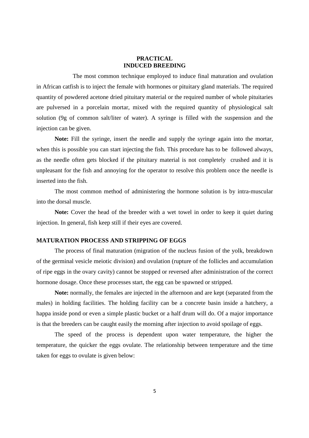### **PRACTICAL INDUCED BREEDING**

The most common technique employed to induce final maturation and ovulation in African catfish is to inject the female with hormones or pituitary gland materials. The required quantity of powdered acetone dried pituitary material or the required number of whole pituitaries are pulversed in a porcelain mortar, mixed with the required quantity of physiological salt solution (9g of common salt/liter of water). A syringe is filled with the suspension and the injection can be given.

**Note:** Fill the syringe, insert the needle and supply the syringe again into the mortar, when this is possible you can start injecting the fish. This procedure has to be followed always, as the needle often gets blocked if the pituitary material is not completely crushed and it is unpleasant for the fish and annoying for the operator to resolve this problem once the needle is inserted into the fish.

 The most common method of administering the hormone solution is by intra-muscular into the dorsal muscle.

**Note:** Cover the head of the breeder with a wet towel in order to keep it quiet during injection. In general, fish keep still if their eyes are covered.

### **MATURATION PROCESS AND STRIPPING OF EGGS**

The process of final maturation (migration of the nucleus fusion of the yolk, breakdown of the germinal vesicle meiotic division) and ovulation (rupture of the follicles and accumulation of ripe eggs in the ovary cavity) cannot be stopped or reversed after administration of the correct hormone dosage. Once these processes start, the egg can be spawned or stripped.

**Note:** normally, the females are injected in the afternoon and are kept (separated from the males) in holding facilities. The holding facility can be a concrete basin inside a hatchery, a happa inside pond or even a simple plastic bucket or a half drum will do. Of a major importance is that the breeders can be caught easily the morning after injection to avoid spoilage of eggs.

 The speed of the process is dependent upon water temperature, the higher the temperature, the quicker the eggs ovulate. The relationship between temperature and the time taken for eggs to ovulate is given below: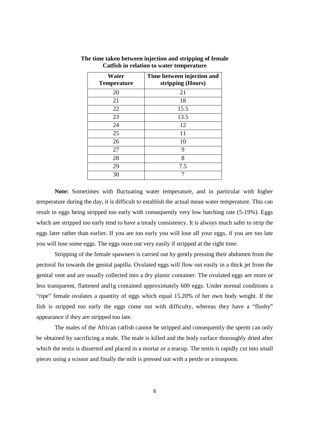| Water<br><b>Temperature</b> | Time between injection and<br>stripping (Hours) |
|-----------------------------|-------------------------------------------------|
| 20                          | 21                                              |
| 21                          | 18                                              |
| 22                          | 15.5                                            |
| 23                          | 13.5                                            |
| 24                          | 12                                              |
| 25                          | 11                                              |
| 26                          | 10                                              |
| 27                          | 9                                               |
| 28                          | 8                                               |
| 29                          | 7.5                                             |
| 30                          |                                                 |

**The time taken between injection and stripping of female Catfish in relation to water temperature** 

 **Note:** Sometimes with fluctuating water temperature, and in particular with higher temperature during the day, it is difficult to establish the actual mean water temperature. This can result in eggs being stripped too early with consequently very low hatching rate (5-19%). Eggs which are stripped too early tend to have a tready consistency. It is always much safer to strip the eggs later rather than earlier. If you are too early you will lose all your eggs, if you are too late you will lose some eggs. The eggs ooze out very easily if stripped at the right time.

 Stripping of the female spawners is carried out by gently pressing their abdomen from the pectoral fin towards the genital papilla. Ovulated eggs will flow out easily in a thick jet from the genital vent and are usually collected into a dry plastic container. The ovulated eggs are more or less transparent, flattened and1g contained approximately 600 eggs. Under normal conditions a "ripe" female ovulates a quantity of eggs which equal 15.20% of her own body weight. If the fish is stripped too early the eggs come out with difficulty, whereas they have a "flushy" appearance if they are stripped too late.

 The males of the African catfish cannot be stripped and consequently the sperm can only be obtained by sacrificing a male. The male is killed and the body surface thoroughly dried after which the testis is disserted and placed in a mortar or a teacup. The testis is rapidly cut into small pieces using a scissor and finally the milt is pressed out with a pestle or a teaspoon.